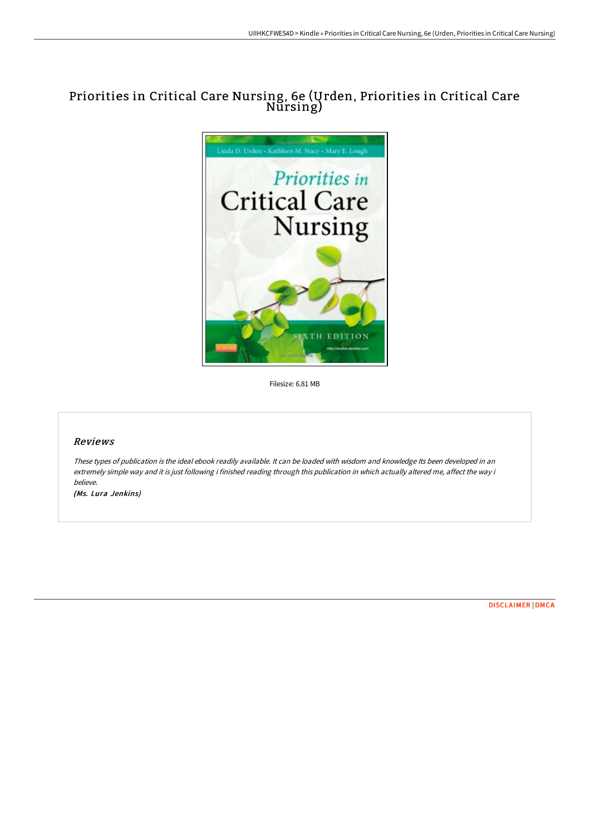# Priorities in Critical Care Nursing, 6e (Urden, Priorities in Critical Care Nursing)



Filesize: 6.81 MB

## Reviews

These types of publication is the ideal ebook readily available. It can be loaded with wisdom and knowledge Its been developed in an extremely simple way and it is just following i finished reading through this publication in which actually altered me, affect the way i believe.

(Ms. Lura Jenkins)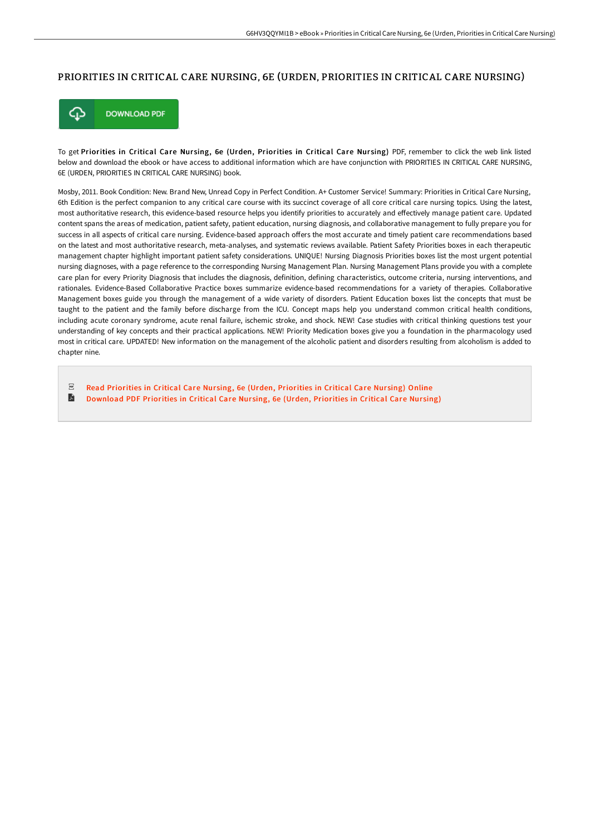#### PRIORITIES IN CRITICAL CARE NURSING, 6E (URDEN, PRIORITIES IN CRITICAL CARE NURSING)



To get Priorities in Critical Care Nursing, 6e (Urden, Priorities in Critical Care Nursing) PDF, remember to click the web link listed below and download the ebook or have access to additional information which are have conjunction with PRIORITIES IN CRITICAL CARE NURSING, 6E (URDEN, PRIORITIES IN CRITICAL CARE NURSING) book.

Mosby, 2011. Book Condition: New. Brand New, Unread Copy in Perfect Condition. A+ Customer Service! Summary: Priorities in Critical Care Nursing, 6th Edition is the perfect companion to any critical care course with its succinct coverage of all core critical care nursing topics. Using the latest, most authoritative research, this evidence-based resource helps you identify priorities to accurately and effectively manage patient care. Updated content spans the areas of medication, patient safety, patient education, nursing diagnosis, and collaborative management to fully prepare you for success in all aspects of critical care nursing. Evidence-based approach offers the most accurate and timely patient care recommendations based on the latest and most authoritative research, meta-analyses, and systematic reviews available. Patient Safety Priorities boxes in each therapeutic management chapter highlight important patient safety considerations. UNIQUE! Nursing Diagnosis Priorities boxes list the most urgent potential nursing diagnoses, with a page reference to the corresponding Nursing Management Plan. Nursing Management Plans provide you with a complete care plan for every Priority Diagnosis that includes the diagnosis, definition, defining characteristics, outcome criteria, nursing interventions, and rationales. Evidence-Based Collaborative Practice boxes summarize evidence-based recommendations for a variety of therapies. Collaborative Management boxes guide you through the management of a wide variety of disorders. Patient Education boxes list the concepts that must be taught to the patient and the family before discharge from the ICU. Concept maps help you understand common critical health conditions, including acute coronary syndrome, acute renal failure, ischemic stroke, and shock. NEW! Case studies with critical thinking questions test your understanding of key concepts and their practical applications. NEW! Priority Medication boxes give you a foundation in the pharmacology used most in critical care. UPDATED! New information on the management of the alcoholic patient and disorders resulting from alcoholism is added to chapter nine.

 $PDF$ Read [Priorities](http://www.bookdirs.com/priorities-in-critical-care-nursing-6e-urden-pri.html) in Critical Care Nursing, 6e (Urden, Priorities in Critical Care Nursing) Online A [Download](http://www.bookdirs.com/priorities-in-critical-care-nursing-6e-urden-pri.html) PDF Priorities in Critical Care Nursing, 6e (Urden, Priorities in Critical Care Nursing)